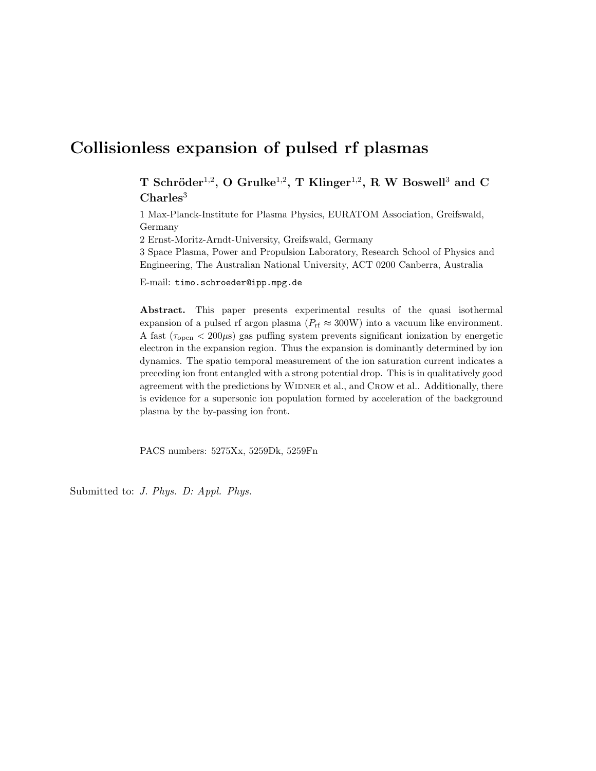# Collisionless expansion of pulsed rf plasmas

T Schröder<sup>1,2</sup>, O Grulke<sup>1,2</sup>, T Klinger<sup>1,2</sup>, R W Boswell<sup>3</sup> and C  $Charles<sup>3</sup>$ 

1 Max-Planck-Institute for Plasma Physics, EURATOM Association, Greifswald, Germany

2 Ernst-Moritz-Arndt-University, Greifswald, Germany

3 Space Plasma, Power and Propulsion Laboratory, Research School of Physics and Engineering, The Australian National University, ACT 0200 Canberra, Australia

E-mail: timo.schroeder@ipp.mpg.de

Abstract. This paper presents experimental results of the quasi isothermal expansion of a pulsed rf argon plasma ( $P_{\text{rf}} \approx 300 \text{W}$ ) into a vacuum like environment. A fast ( $\tau_{\rm open}$  < 200 $\mu$ s) gas puffing system prevents significant ionization by energetic electron in the expansion region. Thus the expansion is dominantly determined by ion dynamics. The spatio temporal measurement of the ion saturation current indicates a preceding ion front entangled with a strong potential drop. This is in qualitatively good agreement with the predictions by WIDNER et al., and CROW et al.. Additionally, there is evidence for a supersonic ion population formed by acceleration of the background plasma by the by-passing ion front.

PACS numbers: 5275Xx, 5259Dk, 5259Fn

Submitted to: J. Phys. D: Appl. Phys.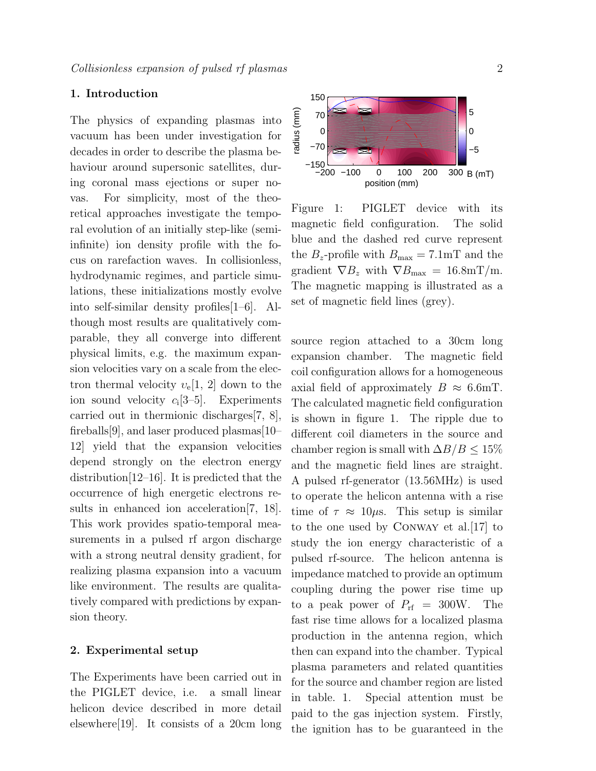# 1. Introduction

The physics of expanding plasmas into vacuum has been under investigation for decades in order to describe the plasma behaviour around supersonic satellites, during coronal mass ejections or super novas. For simplicity, most of the theoretical approaches investigate the temporal evolution of an initially step-like (semiinfinite) ion density profile with the focus on rarefaction waves. In collisionless, hydrodynamic regimes, and particle simulations, these initializations mostly evolve into self-similar density profiles[1–6]. Although most results are qualitatively comparable, they all converge into different physical limits, e.g. the maximum expansion velocities vary on a scale from the electron thermal velocity  $v_e[1, 2]$  down to the ion sound velocity  $c_i$ [3-5]. Experiments carried out in thermionic discharges[7, 8], fireballs[9], and laser produced plasmas[10– 12] yield that the expansion velocities depend strongly on the electron energy distribution[12–16]. It is predicted that the occurrence of high energetic electrons results in enhanced ion acceleration[7, 18]. This work provides spatio-temporal measurements in a pulsed rf argon discharge with a strong neutral density gradient, for realizing plasma expansion into a vacuum like environment. The results are qualitatively compared with predictions by expansion theory.

# 2. Experimental setup

The Experiments have been carried out in the PIGLET device, i.e. a small linear helicon device described in more detail elsewhere[19]. It consists of a 20cm long



Figure 1: PIGLET device with its magnetic field configuration. The solid blue and the dashed red curve represent the  $B_z$ -profile with  $B_{\text{max}} = 7.1 \text{mT}$  and the gradient  $\nabla B_z$  with  $\nabla B_{\text{max}} = 16.8 \text{mT/m}$ . The magnetic mapping is illustrated as a set of magnetic field lines (grey).

source region attached to a 30cm long expansion chamber. The magnetic field coil configuration allows for a homogeneous axial field of approximately  $B \approx 6.6$ mT. The calculated magnetic field configuration is shown in figure 1. The ripple due to different coil diameters in the source and chamber region is small with  $\Delta B/B \leq 15\%$ and the magnetic field lines are straight. A pulsed rf-generator (13.56MHz) is used to operate the helicon antenna with a rise time of  $\tau \approx 10 \mu s$ . This setup is similar to the one used by Conway et al.[17] to study the ion energy characteristic of a pulsed rf-source. The helicon antenna is impedance matched to provide an optimum coupling during the power rise time up to a peak power of  $P_{\rm rf} = 300$ W. The fast rise time allows for a localized plasma production in the antenna region, which then can expand into the chamber. Typical plasma parameters and related quantities for the source and chamber region are listed in table. 1. Special attention must be paid to the gas injection system. Firstly, the ignition has to be guaranteed in the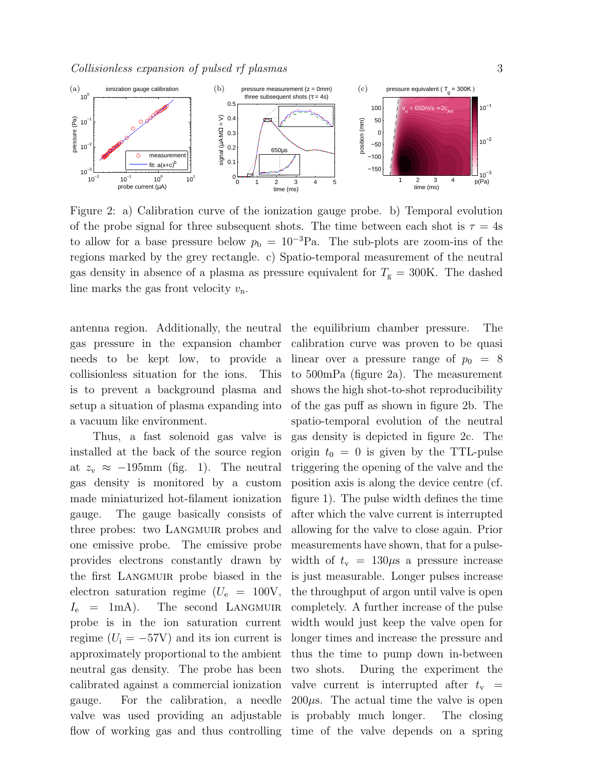

Figure 2: a) Calibration curve of the ionization gauge probe. b) Temporal evolution of the probe signal for three subsequent shots. The time between each shot is  $\tau = 4s$ to allow for a base pressure below  $p_b = 10^{-3}Pa$ . The sub-plots are zoom-ins of the regions marked by the grey rectangle. c) Spatio-temporal measurement of the neutral gas density in absence of a plasma as pressure equivalent for  $T_{\rm g} = 300$ K. The dashed line marks the gas front velocity  $v_n$ .

gas pressure in the expansion chamber needs to be kept low, to provide a collisionless situation for the ions. This is to prevent a background plasma and setup a situation of plasma expanding into a vacuum like environment.

Thus, a fast solenoid gas valve is installed at the back of the source region at  $z_v \approx -195$ mm (fig. 1). The neutral gas density is monitored by a custom made miniaturized hot-filament ionization gauge. The gauge basically consists of three probes: two LANGMUIR probes and one emissive probe. The emissive probe provides electrons constantly drawn by the first Langmuir probe biased in the electron saturation regime  $(U_e = 100V,$  $I_e$  = 1mA). The second LANGMUIR probe is in the ion saturation current regime  $(U_i = -57V)$  and its ion current is approximately proportional to the ambient neutral gas density. The probe has been calibrated against a commercial ionization gauge. For the calibration, a needle valve was used providing an adjustable flow of working gas and thus controlling time of the valve depends on a spring

antenna region. Additionally, the neutral the equilibrium chamber pressure. The calibration curve was proven to be quasi linear over a pressure range of  $p_0 = 8$ to 500mPa (figure 2a). The measurement shows the high shot-to-shot reproducibility of the gas puff as shown in figure 2b. The spatio-temporal evolution of the neutral gas density is depicted in figure 2c. The origin  $t_0 = 0$  is given by the TTL-pulse triggering the opening of the valve and the position axis is along the device centre (cf. figure 1). The pulse width defines the time after which the valve current is interrupted allowing for the valve to close again. Prior measurements have shown, that for a pulsewidth of  $t_v = 130 \mu s$  a pressure increase is just measurable. Longer pulses increase the throughput of argon until valve is open completely. A further increase of the pulse width would just keep the valve open for longer times and increase the pressure and thus the time to pump down in-between two shots. During the experiment the valve current is interrupted after  $t_v$  =  $200\mu$ s. The actual time the valve is open is probably much longer. The closing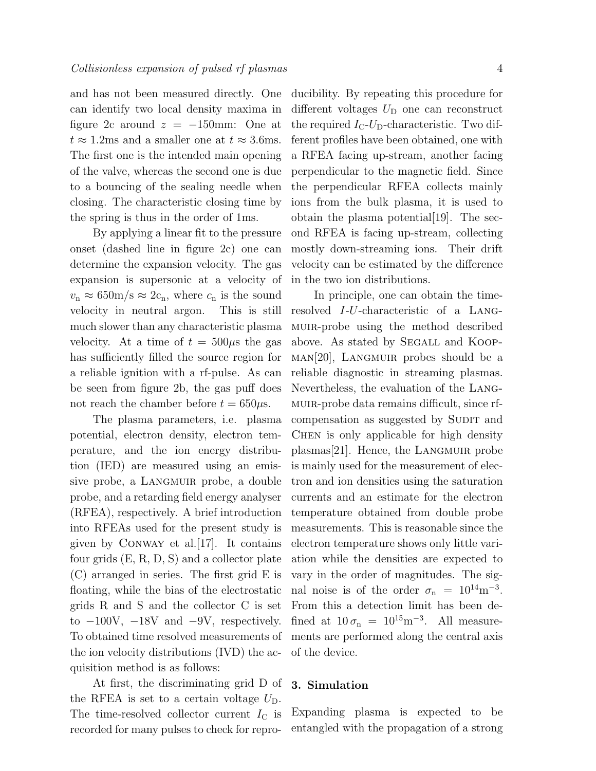and has not been measured directly. One can identify two local density maxima in figure 2c around  $z = -150$ mm: One at  $t \approx 1.2 \text{ms}$  and a smaller one at  $t \approx 3.6 \text{ms}$ . The first one is the intended main opening of the valve, whereas the second one is due to a bouncing of the sealing needle when closing. The characteristic closing time by the spring is thus in the order of 1ms.

By applying a linear fit to the pressure onset (dashed line in figure 2c) one can determine the expansion velocity. The gas expansion is supersonic at a velocity of  $v_n \approx 650 \text{m/s} \approx 2 \text{c}_n$ , where  $c_n$  is the sound velocity in neutral argon. This is still much slower than any characteristic plasma velocity. At a time of  $t = 500 \mu s$  the gas has sufficiently filled the source region for a reliable ignition with a rf-pulse. As can be seen from figure 2b, the gas puff does not reach the chamber before  $t = 650 \mu s$ .

The plasma parameters, i.e. plasma potential, electron density, electron temperature, and the ion energy distribution (IED) are measured using an emissive probe, a LANGMUIR probe, a double probe, and a retarding field energy analyser (RFEA), respectively. A brief introduction into RFEAs used for the present study is given by CONWAY et al.  $[17]$ . It contains four grids (E, R, D, S) and a collector plate (C) arranged in series. The first grid E is floating, while the bias of the electrostatic grids R and S and the collector C is set to  $-100V$ ,  $-18V$  and  $-9V$ , respectively. To obtained time resolved measurements of the ion velocity distributions (IVD) the acquisition method is as follows:

At first, the discriminating grid D of the RFEA is set to a certain voltage  $U_D$ . The time-resolved collector current  $I_{\rm C}$  is recorded for many pulses to check for reproducibility. By repeating this procedure for different voltages  $U_D$  one can reconstruct the required  $I_{\rm C}$ - $U_{\rm D}$ -characteristic. Two different profiles have been obtained, one with a RFEA facing up-stream, another facing perpendicular to the magnetic field. Since the perpendicular RFEA collects mainly ions from the bulk plasma, it is used to obtain the plasma potential [19]. The second RFEA is facing up-stream, collecting mostly down-streaming ions. Their drift velocity can be estimated by the difference in the two ion distributions.

In principle, one can obtain the timeresolved I-U-characteristic of a Langmuir-probe using the method described above. As stated by Segall and Koop- $MAN[20]$ , LANGMUIR probes should be a reliable diagnostic in streaming plasmas. Nevertheless, the evaluation of the Langmuir-probe data remains difficult, since rfcompensation as suggested by SUDIT and CHEN is only applicable for high density plasmas[21]. Hence, the LANGMUIR probe is mainly used for the measurement of electron and ion densities using the saturation currents and an estimate for the electron temperature obtained from double probe measurements. This is reasonable since the electron temperature shows only little variation while the densities are expected to vary in the order of magnitudes. The signal noise is of the order  $\sigma_{\rm n} = 10^{14} \text{m}^{-3}$ . From this a detection limit has been defined at  $10 \sigma_{\rm n} = 10^{15} \text{m}^{-3}$ . All measurements are performed along the central axis of the device.

# 3. Simulation

Expanding plasma is expected to be entangled with the propagation of a strong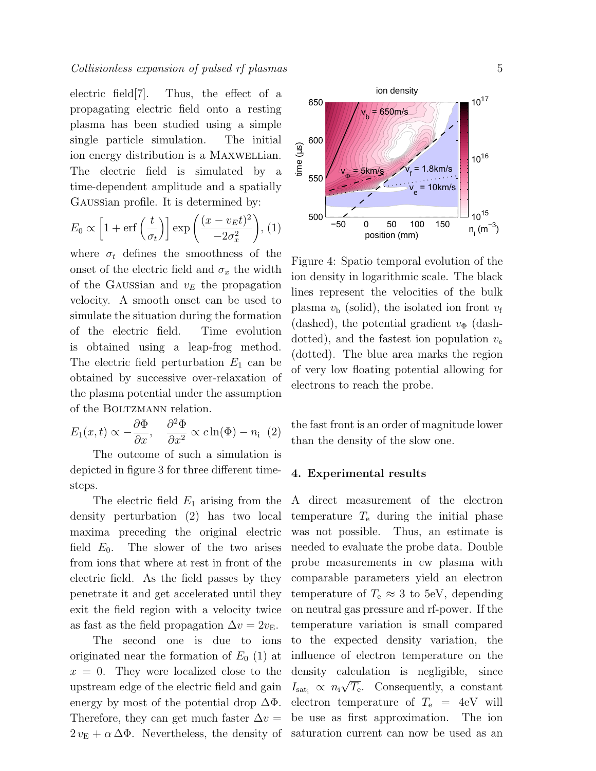# Collisionless expansion of pulsed rf plasmas 5

electric field[7]. Thus, the effect of a propagating electric field onto a resting plasma has been studied using a simple single particle simulation. The initial ion energy distribution is a MAXWELLian. The electric field is simulated by a time-dependent amplitude and a spatially Gaussian profile. It is determined by:

$$
E_0 \propto \left[1 + \text{erf}\left(\frac{t}{\sigma_t}\right)\right] \exp\left(\frac{(x - v_E t)^2}{-2\sigma_x^2}\right), (1)
$$

where  $\sigma_t$  defines the smoothness of the onset of the electric field and  $\sigma_x$  the width of the GAUSSian and  $v<sub>E</sub>$  the propagation velocity. A smooth onset can be used to simulate the situation during the formation of the electric field. Time evolution is obtained using a leap-frog method. The electric field perturbation  $E_1$  can be obtained by successive over-relaxation of the plasma potential under the assumption of the BOLTZMANN relation.

$$
E_1(x,t) \propto -\frac{\partial \Phi}{\partial x}, \quad \frac{\partial^2 \Phi}{\partial x^2} \propto c \ln(\Phi) - n_i \tag{2}
$$

The outcome of such a simulation is depicted in figure 3 for three different timesteps.

The electric field  $E_1$  arising from the density perturbation (2) has two local maxima preceding the original electric field  $E_0$ . The slower of the two arises from ions that where at rest in front of the electric field. As the field passes by they penetrate it and get accelerated until they exit the field region with a velocity twice as fast as the field propagation  $\Delta v = 2v_E$ .

The second one is due to ions originated near the formation of  $E_0$  (1) at  $x = 0$ . They were localized close to the upstream edge of the electric field and gain energy by most of the potential drop  $\Delta\Phi$ . Therefore, they can get much faster  $\Delta v =$  $2 v_{\rm E} + \alpha \Delta \Phi$ . Nevertheless, the density of saturation current can now be used as an



Figure 4: Spatio temporal evolution of the ion density in logarithmic scale. The black lines represent the velocities of the bulk plasma  $v<sub>b</sub>$  (solid), the isolated ion front  $v<sub>f</sub>$ (dashed), the potential gradient  $v_{\Phi}$  (dashdotted), and the fastest ion population  $v_{e}$ (dotted). The blue area marks the region of very low floating potential allowing for electrons to reach the probe.

the fast front is an order of magnitude lower than the density of the slow one.

#### 4. Experimental results

A direct measurement of the electron temperature  $T_e$  during the initial phase was not possible. Thus, an estimate is needed to evaluate the probe data. Double probe measurements in cw plasma with comparable parameters yield an electron temperature of  $T_e \approx 3$  to 5eV, depending on neutral gas pressure and rf-power. If the temperature variation is small compared to the expected density variation, the influence of electron temperature on the density calculation is negligible, since  $I_{\text{sat}_i} \propto n_i$ √  $\overline{T_{e}}$ . Consequently, a constant electron temperature of  $T_e$  = 4eV will be use as first approximation. The ion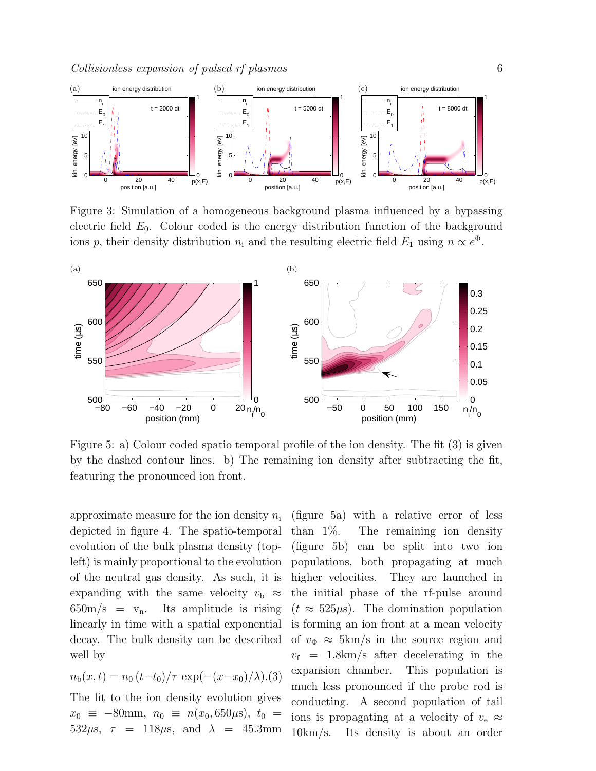

Figure 3: Simulation of a homogeneous background plasma influenced by a bypassing electric field  $E_0$ . Colour coded is the energy distribution function of the background ions p, their density distribution  $n_i$  and the resulting electric field  $E_1$  using  $n \propto e^{\Phi}$ .



Figure 5: a) Colour coded spatio temporal profile of the ion density. The fit (3) is given by the dashed contour lines. b) The remaining ion density after subtracting the fit, featuring the pronounced ion front.

approximate measure for the ion density  $n_i$ depicted in figure 4. The spatio-temporal evolution of the bulk plasma density (topleft) is mainly proportional to the evolution of the neutral gas density. As such, it is expanding with the same velocity  $v_{\rm b} \approx$  $650 \text{m/s} = v_n$ . Its amplitude is rising linearly in time with a spatial exponential decay. The bulk density can be described well by

$$
n_{\rm b}(x,t) = n_0 (t-t_0)/\tau \exp(-(x-x_0)/\lambda).(3)
$$

The fit to the ion density evolution gives  $x_0 \equiv -80$ mm,  $n_0 \equiv n(x_0, 650 \mu s)$ ,  $t_0 =$ 532 $\mu$ s,  $\tau = 118 \mu$ s, and  $\lambda = 45.3$ mm

(figure 5a) with a relative error of less than 1%. The remaining ion density (figure 5b) can be split into two ion populations, both propagating at much higher velocities. They are launched in the initial phase of the rf-pulse around  $(t \approx 525 \mu s)$ . The domination population is forming an ion front at a mean velocity of  $v_{\Phi} \approx 5 \text{km/s}$  in the source region and  $v_f = 1.8 \text{km/s}$  after decelerating in the expansion chamber. This population is much less pronounced if the probe rod is conducting. A second population of tail ions is propagating at a velocity of  $v_e \approx$ 10km/s. Its density is about an order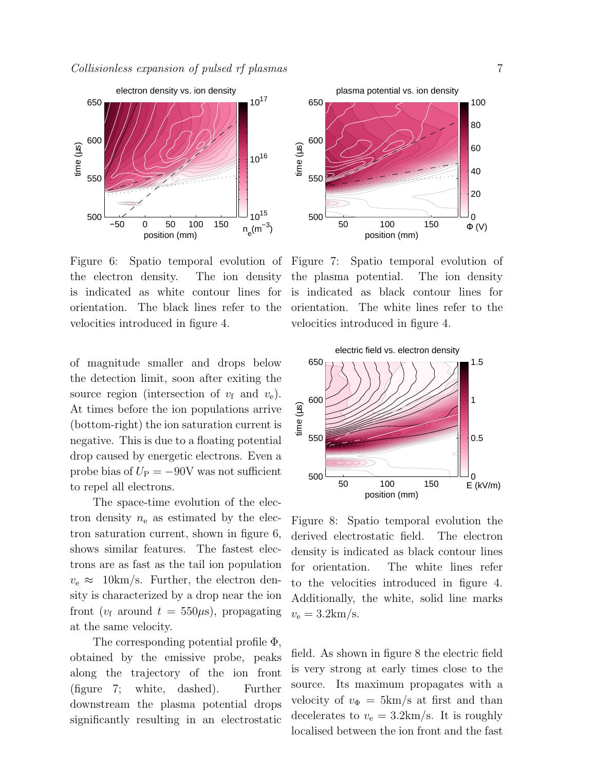

Figure 6: Spatio temporal evolution of Figure 7: Spatio temporal evolution of the electron density. The ion density is indicated as white contour lines for orientation. The black lines refer to the velocities introduced in figure 4.

of magnitude smaller and drops below the detection limit, soon after exiting the source region (intersection of  $v_f$  and  $v_e$ ). At times before the ion populations arrive (bottom-right) the ion saturation current is negative. This is due to a floating potential drop caused by energetic electrons. Even a probe bias of  $U_P = -90V$  was not sufficient to repel all electrons.

The space-time evolution of the electron density  $n_e$  as estimated by the electron saturation current, shown in figure 6, shows similar features. The fastest electrons are as fast as the tail ion population  $v_e \approx 10 \text{km/s}$ . Further, the electron density is characterized by a drop near the ion front ( $v_f$  around  $t = 550 \mu s$ ), propagating at the same velocity.

The corresponding potential profile Φ, obtained by the emissive probe, peaks along the trajectory of the ion front (figure 7; white, dashed). Further downstream the plasma potential drops significantly resulting in an electrostatic



the plasma potential. The ion density is indicated as black contour lines for orientation. The white lines refer to the velocities introduced in figure 4.



Figure 8: Spatio temporal evolution the derived electrostatic field. The electron density is indicated as black contour lines for orientation. The white lines refer to the velocities introduced in figure 4. Additionally, the white, solid line marks  $v_{\rm e} = 3.2 \text{km/s}.$ 

field. As shown in figure 8 the electric field is very strong at early times close to the source. Its maximum propagates with a velocity of  $v_{\Phi} = 5 \text{km/s}$  at first and than decelerates to  $v_e = 3.2 \text{km/s}$ . It is roughly localised between the ion front and the fast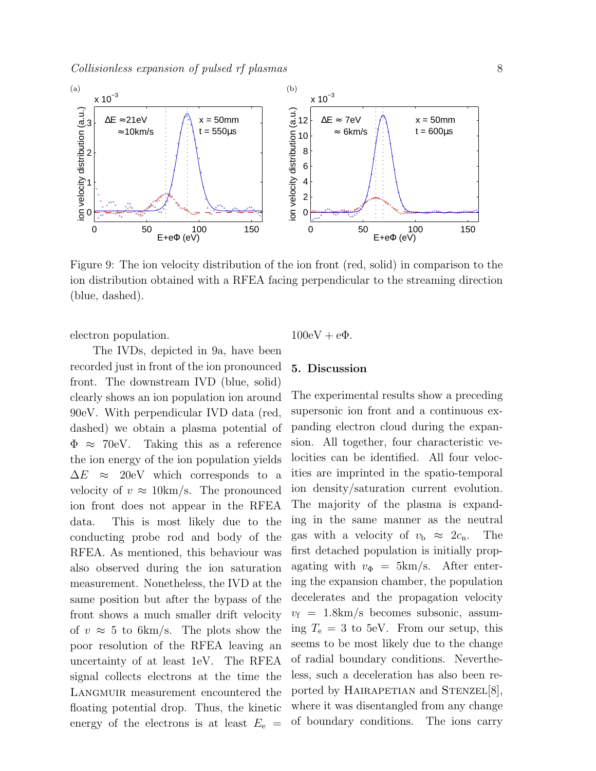

Figure 9: The ion velocity distribution of the ion front (red, solid) in comparison to the ion distribution obtained with a RFEA facing perpendicular to the streaming direction (blue, dashed).

electron population.

The IVDs, depicted in 9a, have been recorded just in front of the ion pronounced front. The downstream IVD (blue, solid) clearly shows an ion population ion around 90eV. With perpendicular IVD data (red, dashed) we obtain a plasma potential of  $\Phi \approx 70$ eV. Taking this as a reference the ion energy of the ion population yields  $\Delta E \approx 20$ eV which corresponds to a velocity of  $v \approx 10 \text{km/s}$ . The pronounced ion front does not appear in the RFEA data. This is most likely due to the conducting probe rod and body of the RFEA. As mentioned, this behaviour was also observed during the ion saturation measurement. Nonetheless, the IVD at the same position but after the bypass of the front shows a much smaller drift velocity of  $v \approx 5$  to 6km/s. The plots show the poor resolution of the RFEA leaving an uncertainty of at least 1eV. The RFEA signal collects electrons at the time the LANGMUIR measurement encountered the floating potential drop. Thus, the kinetic energy of the electrons is at least  $E_e$  =  $100 \text{eV} + \text{e}\Phi$ .

# 5. Discussion

The experimental results show a preceding supersonic ion front and a continuous expanding electron cloud during the expansion. All together, four characteristic velocities can be identified. All four velocities are imprinted in the spatio-temporal ion density/saturation current evolution. The majority of the plasma is expanding in the same manner as the neutral gas with a velocity of  $v_{\rm b} \approx 2c_{\rm n}$ . The first detached population is initially propagating with  $v_{\Phi} = 5 \text{km/s}$ . After entering the expansion chamber, the population decelerates and the propagation velocity  $v_f = 1.8 \text{km/s}$  becomes subsonic, assuming  $T_e = 3$  to 5eV. From our setup, this seems to be most likely due to the change of radial boundary conditions. Nevertheless, such a deceleration has also been reported by HAIRAPETIAN and STENZEL<sup>[8]</sup>, where it was disentangled from any change of boundary conditions. The ions carry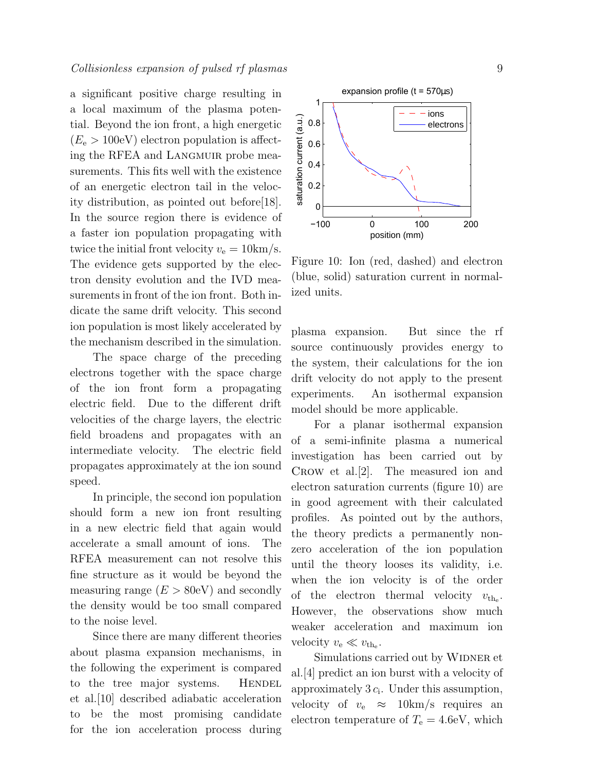a significant positive charge resulting in a local maximum of the plasma potential. Beyond the ion front, a high energetic  $(E_e > 100$ eV) electron population is affecting the RFEA and LANGMUIR probe measurements. This fits well with the existence of an energetic electron tail in the velocity distribution, as pointed out before[18]. In the source region there is evidence of a faster ion population propagating with twice the initial front velocity  $v_e = 10 \text{km/s}$ . The evidence gets supported by the electron density evolution and the IVD measurements in front of the ion front. Both indicate the same drift velocity. This second ion population is most likely accelerated by the mechanism described in the simulation.

The space charge of the preceding electrons together with the space charge of the ion front form a propagating electric field. Due to the different drift velocities of the charge layers, the electric field broadens and propagates with an intermediate velocity. The electric field propagates approximately at the ion sound speed.

In principle, the second ion population should form a new ion front resulting in a new electric field that again would accelerate a small amount of ions. The RFEA measurement can not resolve this fine structure as it would be beyond the measuring range  $(E > 80$ eV) and secondly the density would be too small compared to the noise level.

Since there are many different theories about plasma expansion mechanisms, in the following the experiment is compared to the tree major systems. HENDEL et al.[10] described adiabatic acceleration to be the most promising candidate for the ion acceleration process during



Figure 10: Ion (red, dashed) and electron (blue, solid) saturation current in normalized units.

plasma expansion. But since the rf source continuously provides energy to the system, their calculations for the ion drift velocity do not apply to the present experiments. An isothermal expansion model should be more applicable.

For a planar isothermal expansion of a semi-infinite plasma a numerical investigation has been carried out by Crow et al.[2]. The measured ion and electron saturation currents (figure 10) are in good agreement with their calculated profiles. As pointed out by the authors, the theory predicts a permanently nonzero acceleration of the ion population until the theory looses its validity, i.e. when the ion velocity is of the order of the electron thermal velocity  $v_{th_e}$ . However, the observations show much weaker acceleration and maximum ion velocity  $v_{\rm e} \ll v_{\rm th_e}$ .

Simulations carried out by WIDNER et al.[4] predict an ion burst with a velocity of approximately  $3 c_i$ . Under this assumption, velocity of  $v_e \approx 10 \text{km/s}$  requires an electron temperature of  $T_e = 4.6$ eV, which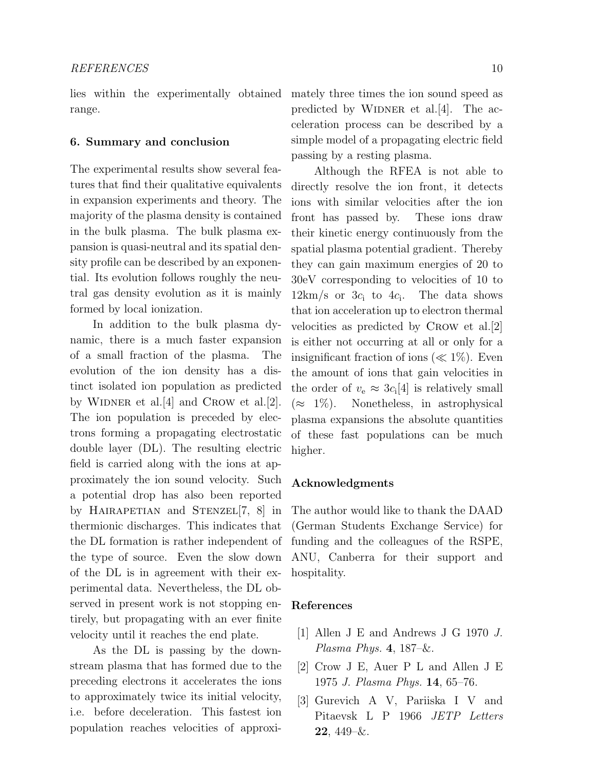range.

# 6. Summary and conclusion

The experimental results show several features that find their qualitative equivalents in expansion experiments and theory. The majority of the plasma density is contained in the bulk plasma. The bulk plasma expansion is quasi-neutral and its spatial density profile can be described by an exponential. Its evolution follows roughly the neutral gas density evolution as it is mainly formed by local ionization.

In addition to the bulk plasma dynamic, there is a much faster expansion of a small fraction of the plasma. The evolution of the ion density has a distinct isolated ion population as predicted by WIDNER et al. [4] and CROW et al. [2]. The ion population is preceded by electrons forming a propagating electrostatic double layer (DL). The resulting electric field is carried along with the ions at approximately the ion sound velocity. Such a potential drop has also been reported by HAIRAPETIAN and STENZEL<sup>[7, 8]</sup> in thermionic discharges. This indicates that the DL formation is rather independent of the type of source. Even the slow down of the DL is in agreement with their experimental data. Nevertheless, the DL observed in present work is not stopping entirely, but propagating with an ever finite velocity until it reaches the end plate.

As the DL is passing by the downstream plasma that has formed due to the preceding electrons it accelerates the ions to approximately twice its initial velocity, i.e. before deceleration. This fastest ion population reaches velocities of approxi-

lies within the experimentally obtained mately three times the ion sound speed as predicted by WIDNER et al. [4]. The acceleration process can be described by a simple model of a propagating electric field passing by a resting plasma.

> Although the RFEA is not able to directly resolve the ion front, it detects ions with similar velocities after the ion front has passed by. These ions draw their kinetic energy continuously from the spatial plasma potential gradient. Thereby they can gain maximum energies of 20 to 30eV corresponding to velocities of 10 to  $12 \text{km/s}$  or  $3c_i$  to  $4c_i$ . The data shows that ion acceleration up to electron thermal velocities as predicted by Crow et al.[2] is either not occurring at all or only for a insignificant fraction of ions ( $\ll 1\%$ ). Even the amount of ions that gain velocities in the order of  $v_{e} \approx 3c_{i}[4]$  is relatively small  $(\approx 1\%)$ . Nonetheless, in astrophysical plasma expansions the absolute quantities of these fast populations can be much higher.

### Acknowledgments

The author would like to thank the DAAD (German Students Exchange Service) for funding and the colleagues of the RSPE, ANU, Canberra for their support and hospitality.

#### References

- [1] Allen J E and Andrews J G 1970 J. Plasma Phys.  $4, 187-\&$ .
- [2] Crow J E, Auer P L and Allen J E 1975 J. Plasma Phys. 14, 65–76.
- [3] Gurevich A V, Pariiska I V and Pitaevsk L P 1966 JETP Letters  $22, 449–&.$